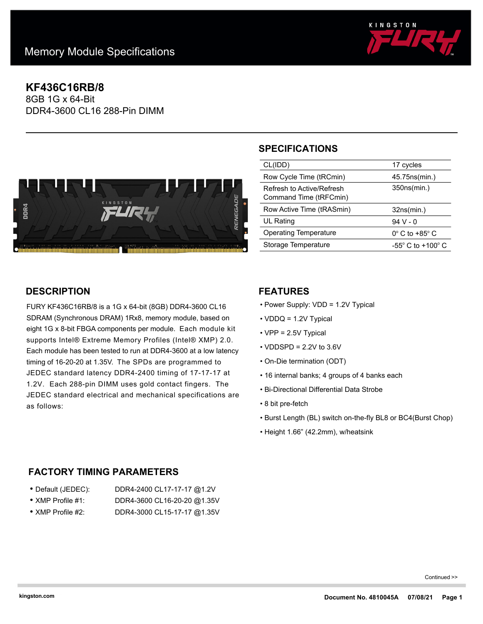

# **KF436C16RB/8**

8GB 1G x 64-Bit DDR4-3600 CL16 288-Pin DIMM



# **SPECIFICATIONS**

| CL(IDD)                      | 17 cycles                           |
|------------------------------|-------------------------------------|
|                              |                                     |
| Row Cycle Time (tRCmin)      | 45.75ns(min.)                       |
| Refresh to Active/Refresh    | 350ns(min.)                         |
|                              |                                     |
| Command Time (tRFCmin)       |                                     |
|                              |                                     |
|                              |                                     |
|                              |                                     |
| Row Active Time (tRASmin)    | 32ns(min.)                          |
|                              |                                     |
| <b>UL Rating</b>             | $94V - 0$                           |
|                              |                                     |
| <b>Operating Temperature</b> | $0^\circ$ C to +85 $^\circ$ C       |
| Storage Temperature          | $-55^{\circ}$ C to $+100^{\circ}$ C |

## **DESCRIPTION**

FURY KF436C16RB/8 is a 1G x 64-bit (8GB) DDR4-3600 CL16 SDRAM (Synchronous DRAM) 1Rx8, memory module, based on eight 1G x 8-bit FBGA components per module. Each module kit supports Intel® Extreme Memory Profiles (Intel® XMP) 2.0. Each module has been tested to run at DDR4-3600 at a low latency timing of 16-20-20 at 1.35V. The SPDs are programmed to JEDEC standard latency DDR4-2400 timing of 17-17-17 at 1.2V. Each 288-pin DIMM uses gold contact fingers. The JEDEC standard electrical and mechanical specifications are as follows:

#### **FEATURES**

- Power Supply: VDD = 1.2V Typical
- VDDQ = 1.2V Typical
- VPP = 2.5V Typical
- $\cdot$  VDDSPD = 2.2V to 3.6V
- On-Die termination (ODT)
- 16 internal banks; 4 groups of 4 banks each
- Bi-Directional Differential Data Strobe
- 8 bit pre-fetch
- Burst Length (BL) switch on-the-fly BL8 or BC4(Burst Chop)
- Height 1.66" (42.2mm), w/heatsink

## **FACTORY TIMING PARAMETERS**

| ● Default (JEDEC):        | DDR4-2400 CL17-17-17 @1.2V  |
|---------------------------|-----------------------------|
| $\bullet$ XMP Profile #1: | DDR4-3600 CL16-20-20 @1.35V |

• XMP Profile #2: DDR4-3000 CL15-17-17 @1.35V

Continued >>